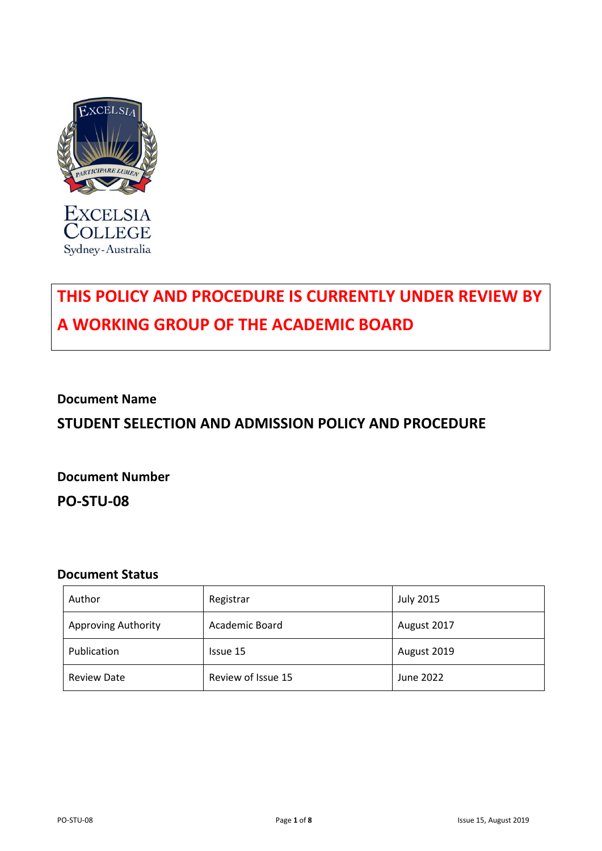

**EXCELSIA COLLEGE** Sydney-Australia

# **THIS POLICY AND PROCEDURE IS CURRENTLY UNDER REVIEW BY A WORKING GROUP OF THE ACADEMIC BOARD**

## **Document Name**

# **STUDENT SELECTION AND ADMISSION POLICY AND PROCEDURE**

**Document Number PO-STU-08**

### **Document Status**

| Author                     | Registrar          | <b>July 2015</b> |
|----------------------------|--------------------|------------------|
| <b>Approving Authority</b> | Academic Board     | August 2017      |
| Publication                | Issue 15           | August 2019      |
| <b>Review Date</b>         | Review of Issue 15 | June 2022        |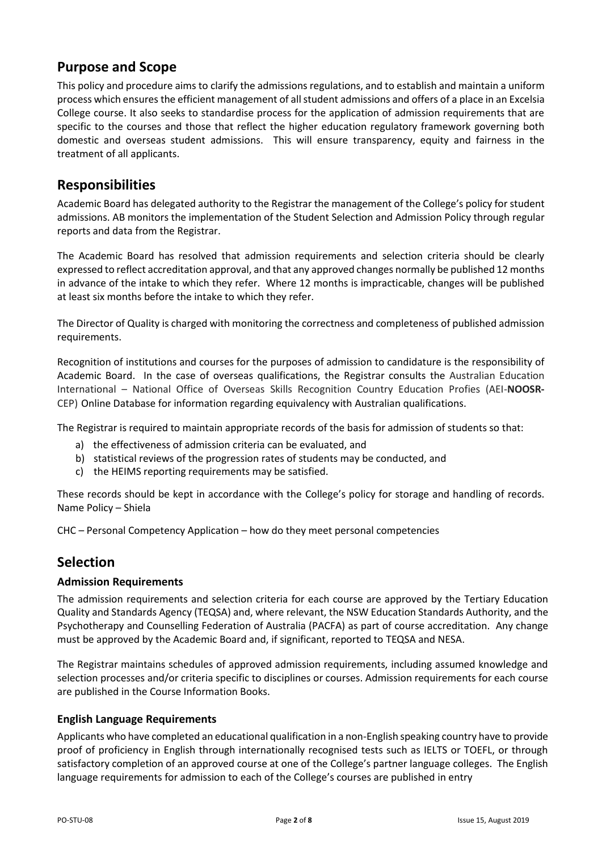# **Purpose and Scope**

This policy and procedure aims to clarify the admissions regulations, and to establish and maintain a uniform process which ensures the efficient management of all student admissions and offers of a place in an Excelsia College course. It also seeks to standardise process for the application of admission requirements that are specific to the courses and those that reflect the higher education regulatory framework governing both domestic and overseas student admissions. This will ensure transparency, equity and fairness in the treatment of all applicants.

# **Responsibilities**

Academic Board has delegated authority to the Registrar the management of the College's policy for student admissions. AB monitors the implementation of the Student Selection and Admission Policy through regular reports and data from the Registrar.

The Academic Board has resolved that admission requirements and selection criteria should be clearly expressed to reflect accreditation approval, and that any approved changes normally be published 12 months in advance of the intake to which they refer. Where 12 months is impracticable, changes will be published at least six months before the intake to which they refer.

The Director of Quality is charged with monitoring the correctness and completeness of published admission requirements.

Recognition of institutions and courses for the purposes of admission to candidature is the responsibility of Academic Board. In the case of overseas qualifications, the Registrar consults the Australian Education International – National Office of Overseas Skills Recognition Country Education Profies (AEI-**NOOSR-**CEP) Online Database for information regarding equivalency with Australian qualifications.

The Registrar is required to maintain appropriate records of the basis for admission of students so that:

- a) the effectiveness of admission criteria can be evaluated, and
- b) statistical reviews of the progression rates of students may be conducted, and
- c) the HEIMS reporting requirements may be satisfied.

These records should be kept in accordance with the College's policy for storage and handling of records. Name Policy – Shiela

CHC – Personal Competency Application – how do they meet personal competencies

# **Selection**

#### **Admission Requirements**

The admission requirements and selection criteria for each course are approved by the Tertiary Education Quality and Standards Agency (TEQSA) and, where relevant, the NSW Education Standards Authority, and the Psychotherapy and Counselling Federation of Australia (PACFA) as part of course accreditation. Any change must be approved by the Academic Board and, if significant, reported to TEQSA and NESA.

The Registrar maintains schedules of approved admission requirements, including assumed knowledge and selection processes and/or criteria specific to disciplines or courses. Admission requirements for each course are published in the Course Information Books.

#### **English Language Requirements**

Applicants who have completed an educational qualification in a non-English speaking country have to provide proof of proficiency in English through internationally recognised tests such as IELTS or TOEFL, or through satisfactory completion of an approved course at one of the College's partner language colleges. The English language requirements for admission to each of the College's courses are published in entry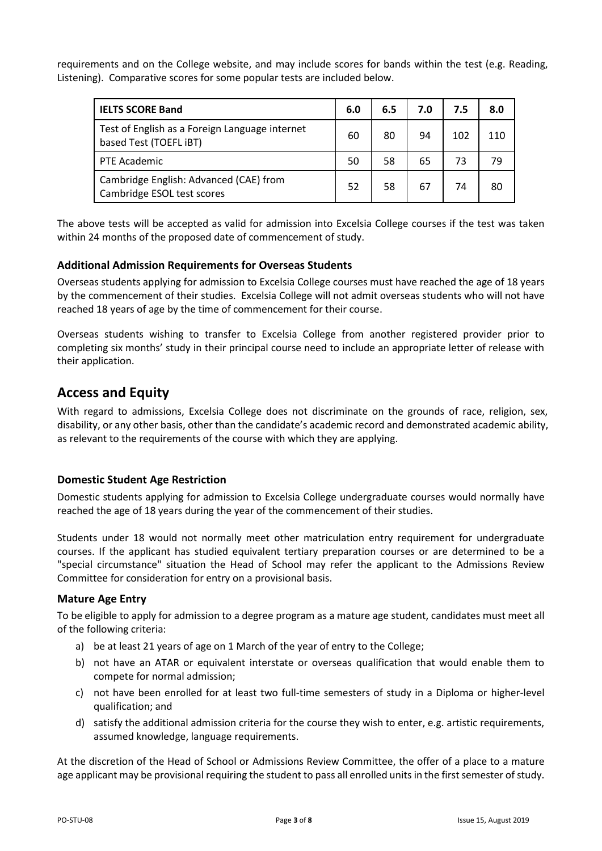requirements and on the College website, and may include scores for bands within the test (e.g. Reading, Listening). Comparative scores for some popular tests are included below.

| <b>IELTS SCORE Band</b>                                                  | 6.0 | 6.5 | 7.0 | 7.5 | 8.0 |
|--------------------------------------------------------------------------|-----|-----|-----|-----|-----|
| Test of English as a Foreign Language internet<br>based Test (TOEFL iBT) | 60  | 80  | 94  | 102 | 110 |
| PTE Academic                                                             | 50  | 58  | 65  | 73  | 79  |
| Cambridge English: Advanced (CAE) from<br>Cambridge ESOL test scores     |     | 58  | 67  | 74  | 80  |

The above tests will be accepted as valid for admission into Excelsia College courses if the test was taken within 24 months of the proposed date of commencement of study.

#### **Additional Admission Requirements for Overseas Students**

Overseas students applying for admission to Excelsia College courses must have reached the age of 18 years by the commencement of their studies. Excelsia College will not admit overseas students who will not have reached 18 years of age by the time of commencement for their course.

Overseas students wishing to transfer to Excelsia College from another registered provider prior to completing six months' study in their principal course need to include an appropriate letter of release with their application.

# **Access and Equity**

With regard to admissions, Excelsia College does not discriminate on the grounds of race, religion, sex, disability, or any other basis, other than the candidate's academic record and demonstrated academic ability, as relevant to the requirements of the course with which they are applying.

#### **Domestic Student Age Restriction**

Domestic students applying for admission to Excelsia College undergraduate courses would normally have reached the age of 18 years during the year of the commencement of their studies.

Students under 18 would not normally meet other matriculation entry requirement for undergraduate courses. If the applicant has studied equivalent tertiary preparation courses or are determined to be a "special circumstance" situation the Head of School may refer the applicant to the Admissions Review Committee for consideration for entry on a provisional basis.

#### **Mature Age Entry**

To be eligible to apply for admission to a degree program as a mature age student, candidates must meet all of the following criteria:

- a) be at least 21 years of age on 1 March of the year of entry to the College;
- b) not have an ATAR or equivalent interstate or overseas qualification that would enable them to compete for normal admission;
- c) not have been enrolled for at least two full-time semesters of study in a Diploma or higher-level qualification; and
- d) satisfy the additional admission criteria for the course they wish to enter, e.g. artistic requirements, assumed knowledge, language requirements.

At the discretion of the Head of School or Admissions Review Committee, the offer of a place to a mature age applicant may be provisional requiring the student to pass all enrolled units in the first semester of study.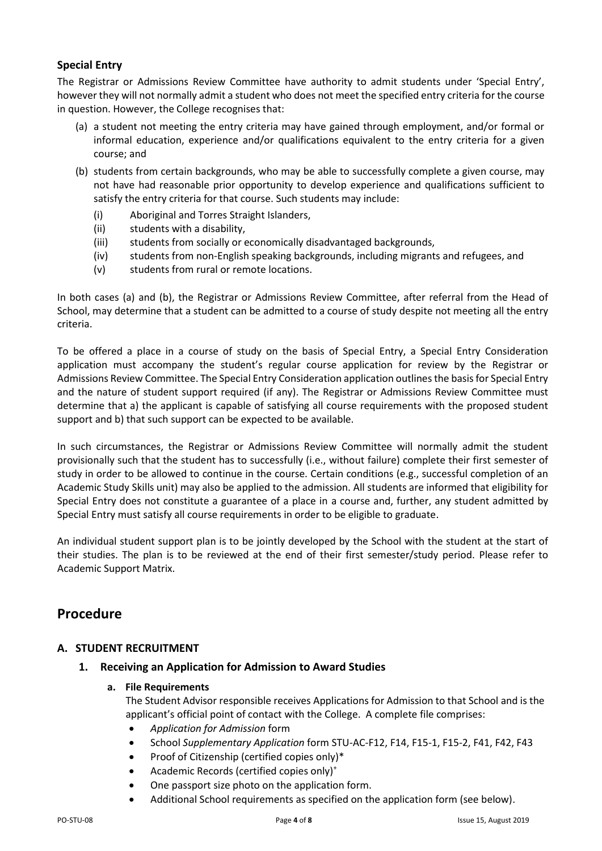### **Special Entry**

The Registrar or Admissions Review Committee have authority to admit students under 'Special Entry', however they will not normally admit a student who does not meet the specified entry criteria for the course in question. However, the College recognises that:

- (a) a student not meeting the entry criteria may have gained through employment, and/or formal or informal education, experience and/or qualifications equivalent to the entry criteria for a given course; and
- (b) students from certain backgrounds, who may be able to successfully complete a given course, may not have had reasonable prior opportunity to develop experience and qualifications sufficient to satisfy the entry criteria for that course. Such students may include:
	- (i) Aboriginal and Torres Straight Islanders,
	- (ii) students with a disability,
	- (iii) students from socially or economically disadvantaged backgrounds,
	- (iv) students from non-English speaking backgrounds, including migrants and refugees, and
	- (v) students from rural or remote locations.

In both cases (a) and (b), the Registrar or Admissions Review Committee, after referral from the Head of School, may determine that a student can be admitted to a course of study despite not meeting all the entry criteria.

To be offered a place in a course of study on the basis of Special Entry, a Special Entry Consideration application must accompany the student's regular course application for review by the Registrar or Admissions Review Committee. The Special Entry Consideration application outlines the basis for Special Entry and the nature of student support required (if any). The Registrar or Admissions Review Committee must determine that a) the applicant is capable of satisfying all course requirements with the proposed student support and b) that such support can be expected to be available.

In such circumstances, the Registrar or Admissions Review Committee will normally admit the student provisionally such that the student has to successfully (i.e., without failure) complete their first semester of study in order to be allowed to continue in the course. Certain conditions (e.g., successful completion of an Academic Study Skills unit) may also be applied to the admission. All students are informed that eligibility for Special Entry does not constitute a guarantee of a place in a course and, further, any student admitted by Special Entry must satisfy all course requirements in order to be eligible to graduate.

An individual student support plan is to be jointly developed by the School with the student at the start of their studies. The plan is to be reviewed at the end of their first semester/study period. Please refer to Academic Support Matrix.

# **Procedure**

### **A. STUDENT RECRUITMENT**

**1. Receiving an Application for Admission to Award Studies**

#### **a. File Requirements**

The Student Advisor responsible receives Applications for Admission to that School and is the applicant's official point of contact with the College. A complete file comprises:

- *Application for Admission* form
- School *Supplementary Application* form STU-AC-F12, F14, F15-1, F15-2, F41, F42, F43
- Proof of Citizenship (certified copies only)\*
- Academic Records (certified copies only)<sup>+</sup>
- One passport size photo on the application form.
- Additional School requirements as specified on the application form (see below).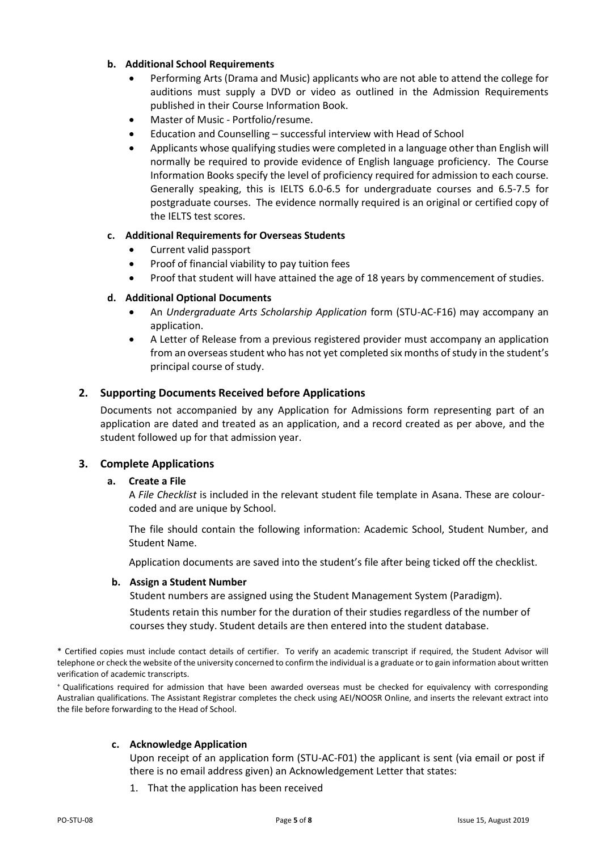#### **b. Additional School Requirements**

- Performing Arts (Drama and Music) applicants who are not able to attend the college for auditions must supply a DVD or video as outlined in the Admission Requirements published in their Course Information Book.
- Master of Music Portfolio/resume.
- Education and Counselling successful interview with Head of School
- Applicants whose qualifying studies were completed in a language other than English will normally be required to provide evidence of English language proficiency. The Course Information Books specify the level of proficiency required for admission to each course. Generally speaking, this is IELTS 6.0-6.5 for undergraduate courses and 6.5-7.5 for postgraduate courses. The evidence normally required is an original or certified copy of the IELTS test scores.

#### **c. Additional Requirements for Overseas Students**

- Current valid passport
- Proof of financial viability to pay tuition fees
- Proof that student will have attained the age of 18 years by commencement of studies.

#### **d. Additional Optional Documents**

- An *Undergraduate Arts Scholarship Application* form (STU-AC-F16) may accompany an application.
- A Letter of Release from a previous registered provider must accompany an application from an overseas student who has not yet completed six months of study in the student's principal course of study.

#### **2. Supporting Documents Received before Applications**

Documents not accompanied by any Application for Admissions form representing part of an application are dated and treated as an application, and a record created as per above, and the student followed up for that admission year.

#### **3. Complete Applications**

#### **a. Create a File**

A *File Checklist* is included in the relevant student file template in Asana. These are colourcoded and are unique by School.

The file should contain the following information: Academic School, Student Number, and Student Name.

Application documents are saved into the student's file after being ticked off the checklist.

#### **b. Assign a Student Number**

Student numbers are assigned using the Student Management System (Paradigm).

Students retain this number for the duration of their studies regardless of the number of courses they study. Student details are then entered into the student database.

\* Certified copies must include contact details of certifier. To verify an academic transcript if required, the Student Advisor will telephone or check the website of the university concerned to confirm the individual is a graduate or to gain information about written verification of academic transcripts.

<sup>+</sup>Qualifications required for admission that have been awarded overseas must be checked for equivalency with corresponding Australian qualifications. The Assistant Registrar completes the check using AEI/NOOSR Online, and inserts the relevant extract into the file before forwarding to the Head of School.

#### **c. Acknowledge Application**

Upon receipt of an application form (STU-AC-F01) the applicant is sent (via email or post if there is no email address given) an Acknowledgement Letter that states:

1. That the application has been received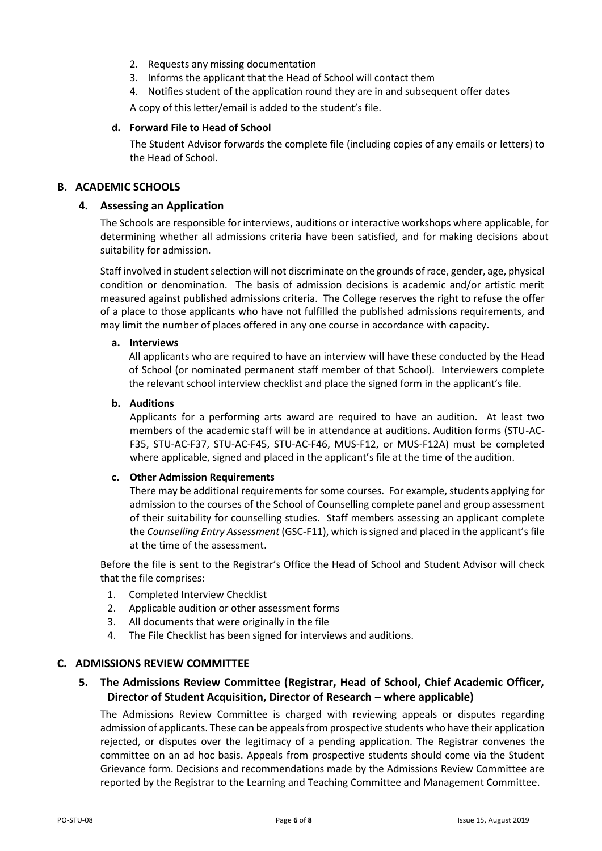- 2. Requests any missing documentation
- 3. Informs the applicant that the Head of School will contact them
- 4. Notifies student of the application round they are in and subsequent offer dates

A copy of this letter/email is added to the student's file.

#### **d. Forward File to Head of School**

The Student Advisor forwards the complete file (including copies of any emails or letters) to the Head of School.

#### **B. ACADEMIC SCHOOLS**

#### **4. Assessing an Application**

The Schools are responsible for interviews, auditions or interactive workshops where applicable, for determining whether all admissions criteria have been satisfied, and for making decisions about suitability for admission.

Staff involved in student selection will not discriminate on the grounds of race, gender, age, physical condition or denomination. The basis of admission decisions is academic and/or artistic merit measured against published admissions criteria. The College reserves the right to refuse the offer of a place to those applicants who have not fulfilled the published admissions requirements, and may limit the number of places offered in any one course in accordance with capacity.

#### **a. Interviews**

All applicants who are required to have an interview will have these conducted by the Head of School (or nominated permanent staff member of that School). Interviewers complete the relevant school interview checklist and place the signed form in the applicant's file.

#### **b. Auditions**

Applicants for a performing arts award are required to have an audition. At least two members of the academic staff will be in attendance at auditions. Audition forms (STU-AC-F35, STU-AC-F37, STU-AC-F45, STU-AC-F46, MUS-F12, or MUS-F12A) must be completed where applicable, signed and placed in the applicant's file at the time of the audition.

#### **c. Other Admission Requirements**

There may be additional requirements for some courses. For example, students applying for admission to the courses of the School of Counselling complete panel and group assessment of their suitability for counselling studies. Staff members assessing an applicant complete the *Counselling Entry Assessment* (GSC-F11), which issigned and placed in the applicant's file at the time of the assessment.

Before the file is sent to the Registrar's Office the Head of School and Student Advisor will check that the file comprises:

- 1. Completed Interview Checklist
- 2. Applicable audition or other assessment forms
- 3. All documents that were originally in the file
- 4. The File Checklist has been signed for interviews and auditions.

#### **C. ADMISSIONS REVIEW COMMITTEE**

#### **5. The Admissions Review Committee (Registrar, Head of School, Chief Academic Officer, Director of Student Acquisition, Director of Research – where applicable)**

The Admissions Review Committee is charged with reviewing appeals or disputes regarding admission of applicants. These can be appeals from prospective students who have their application rejected, or disputes over the legitimacy of a pending application. The Registrar convenes the committee on an ad hoc basis. Appeals from prospective students should come via the Student Grievance form. Decisions and recommendations made by the Admissions Review Committee are reported by the Registrar to the Learning and Teaching Committee and Management Committee.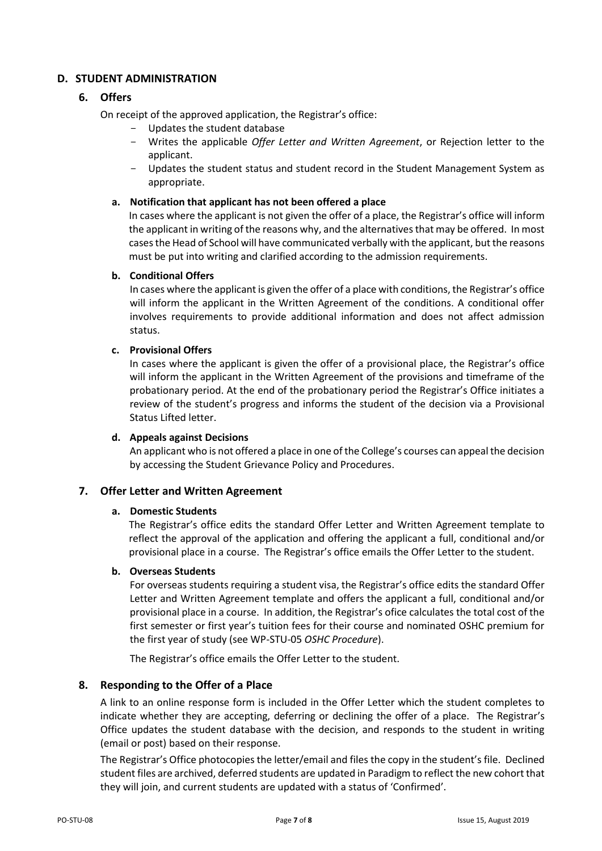#### **D. STUDENT ADMINISTRATION**

#### **6. Offers**

On receipt of the approved application, the Registrar's office:

- Updates the student database
- Writes the applicable *Offer Letter and Written Agreement*, or Rejection letter to the applicant.
- Updates the student status and student record in the Student Management System as appropriate.

#### **a. Notification that applicant has not been offered a place**

In cases where the applicant is not given the offer of a place, the Registrar's office will inform the applicant in writing of the reasons why, and the alternatives that may be offered. In most cases the Head of School will have communicated verbally with the applicant, but the reasons must be put into writing and clarified according to the admission requirements.

#### **b. Conditional Offers**

In cases where the applicant is given the offer of a place with conditions, the Registrar's office will inform the applicant in the Written Agreement of the conditions. A conditional offer involves requirements to provide additional information and does not affect admission status.

#### **c. Provisional Offers**

In cases where the applicant is given the offer of a provisional place, the Registrar's office will inform the applicant in the Written Agreement of the provisions and timeframe of the probationary period. At the end of the probationary period the Registrar's Office initiates a review of the student's progress and informs the student of the decision via a Provisional Status Lifted letter.

#### **d. Appeals against Decisions**

An applicant who is not offered a place in one of the College's courses can appeal the decision by accessing the Student Grievance Policy and Procedures.

#### **7. Offer Letter and Written Agreement**

#### **a. Domestic Students**

The Registrar's office edits the standard Offer Letter and Written Agreement template to reflect the approval of the application and offering the applicant a full, conditional and/or provisional place in a course. The Registrar's office emails the Offer Letter to the student.

#### **b. Overseas Students**

For overseas students requiring a student visa, the Registrar's office edits the standard Offer Letter and Written Agreement template and offers the applicant a full, conditional and/or provisional place in a course. In addition, the Registrar's ofice calculates the total cost of the first semester or first year's tuition fees for their course and nominated OSHC premium for the first year of study (see WP-STU-05 *OSHC Procedure*).

The Registrar's office emails the Offer Letter to the student.

#### **8. Responding to the Offer of a Place**

A link to an online response form is included in the Offer Letter which the student completes to indicate whether they are accepting, deferring or declining the offer of a place. The Registrar's Office updates the student database with the decision, and responds to the student in writing (email or post) based on their response.

The Registrar's Office photocopies the letter/email and files the copy in the student's file. Declined student files are archived, deferred students are updated in Paradigm to reflect the new cohort that they will join, and current students are updated with a status of 'Confirmed'.